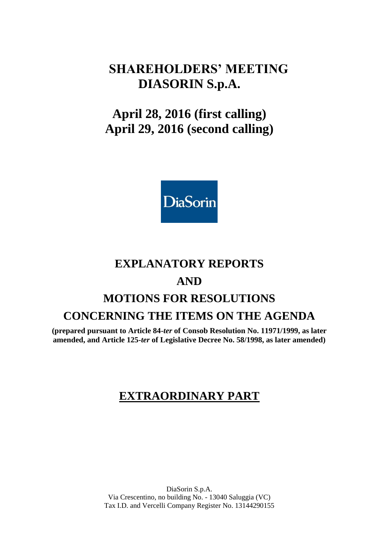# **SHAREHOLDERS' MEETING DIASORIN S.p.A.**

# **April 28, 2016 (first calling) April 29, 2016 (second calling)**



# **EXPLANATORY REPORTS**

# **AND**

# **MOTIONS FOR RESOLUTIONS CONCERNING THE ITEMS ON THE AGENDA**

**(prepared pursuant to Article 84-***ter* **of Consob Resolution No. 11971/1999, as later amended, and Article 125-***ter* **of Legislative Decree No. 58/1998, as later amended)**

# **EXTRAORDINARY PART**

DiaSorin S.p.A. Via Crescentino, no building No. - 13040 Saluggia (VC) Tax I.D. and Vercelli Company Register No. 13144290155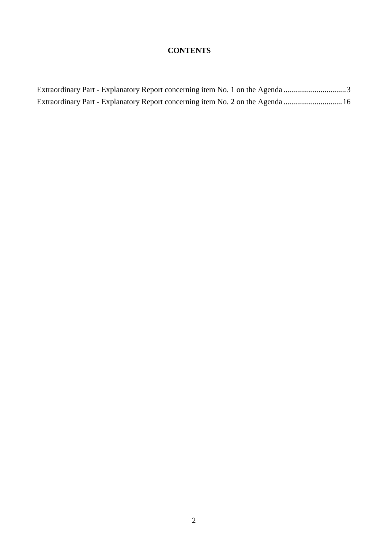# **CONTENTS**

| Extraordinary Part - Explanatory Report concerning item No. 1 on the Agenda 3  |  |
|--------------------------------------------------------------------------------|--|
| Extraordinary Part - Explanatory Report concerning item No. 2 on the Agenda 16 |  |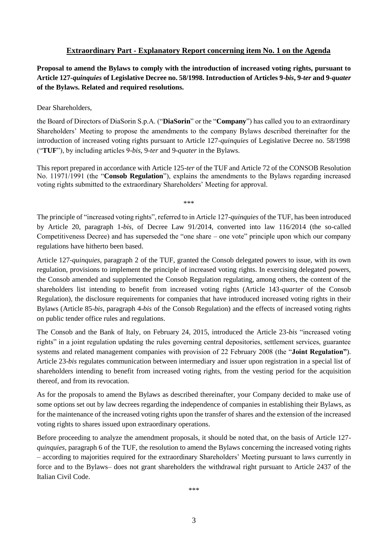### **Extraordinary Part - Explanatory Report concerning item No. 1 on the Agenda**

<span id="page-2-0"></span>**Proposal to amend the Bylaws to comply with the introduction of increased voting rights, pursuant to Article 127-***quinquies* **of Legislative Decree no. 58/1998. Introduction of Articles 9-***bis***, 9-***ter* **and 9-***quater* **of the Bylaws. Related and required resolutions.**

Dear Shareholders,

the Board of Directors of DiaSorin S.p.A. ("**DiaSorin**" or the "**Company**") has called you to an extraordinary Shareholders' Meeting to propose the amendments to the company Bylaws described thereinafter for the introduction of increased voting rights pursuant to Article 127-*quinquies* of Legislative Decree no. 58/1998 ("**TUF**"), by including articles 9-*bis*, 9-*ter* and 9-*quater* in the Bylaws.

This report prepared in accordance with Article 125-*ter* of the TUF and Article 72 of the CONSOB Resolution No. 11971/1991 (the "**Consob Regulation**"), explains the amendments to the Bylaws regarding increased voting rights submitted to the extraordinary Shareholders' Meeting for approval.

\*\*\*

The principle of "increased voting rights", referred to in Article 127-*quinquies* of the TUF, has been introduced by Article 20, paragraph 1-*bis*, of Decree Law 91/2014, converted into law 116/2014 (the so-called Competitiveness Decree) and has superseded the "one share – one vote" principle upon which our company regulations have hitherto been based.

Article 127-*quinquies*, paragraph 2 of the TUF, granted the Consob delegated powers to issue, with its own regulation, provisions to implement the principle of increased voting rights. In exercising delegated powers, the Consob amended and supplemented the Consob Regulation regulating, among others, the content of the shareholders list intending to benefit from increased voting rights (Article 143-*quarter* of the Consob Regulation), the disclosure requirements for companies that have introduced increased voting rights in their Bylaws (Article 85-*bis*, paragraph 4-*bis* of the Consob Regulation) and the effects of increased voting rights on public tender office rules and regulations.

The Consob and the Bank of Italy, on February 24, 2015, introduced the Article 23-*bis* "increased voting rights" in a joint regulation updating the rules governing central depositories, settlement services, guarantee systems and related management companies with provision of 22 February 2008 (the "**Joint Regulation"**). Article 23-*bis* regulates communication between intermediary and issuer upon registration in a special list of shareholders intending to benefit from increased voting rights, from the vesting period for the acquisition thereof, and from its revocation.

As for the proposals to amend the Bylaws as described thereinafter, your Company decided to make use of some options set out by law decrees regarding the independence of companies in establishing their Bylaws, as for the maintenance of the increased voting rights upon the transfer of shares and the extension of the increased voting rights to shares issued upon extraordinary operations.

Before proceeding to analyze the amendment proposals, it should be noted that, on the basis of Article 127 *quinquies*, paragraph 6 of the TUF, the resolution to amend the Bylaws concerning the increased voting rights – according to majorities required for the extraordinary Shareholders' Meeting pursuant to laws currently in force and to the Bylaws– does not grant shareholders the withdrawal right pursuant to Article 2437 of the Italian Civil Code.

\*\*\*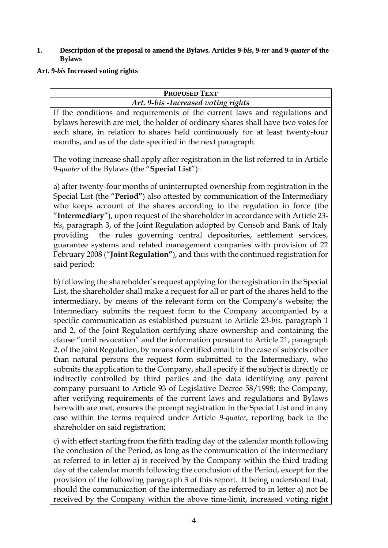#### **1. Description of the proposal to amend the Bylaws. Articles 9-***bis***, 9-***ter* **and 9-***quater* **of the Bylaws**

## **Art. 9-***bis* **Increased voting rights**

| <b>PROPOSED TEXT</b>                                                            |  |  |
|---------------------------------------------------------------------------------|--|--|
| Art. 9-bis - Increased voting rights                                            |  |  |
| If the conditions and requirements of the current laws and regulations and      |  |  |
| bylaws herewith are met, the holder of ordinary shares shall have two votes for |  |  |
| each share, in relation to shares held continuously for at least twenty-four    |  |  |

months, and as of the date specified in the next paragraph.

The voting increase shall apply after registration in the list referred to in Article 9-*quater* of the Bylaws (the "**Special List**"):

a) after twenty-four months of uninterrupted ownership from registration in the Special List (the "**Period"**) also attested by communication of the Intermediary who keeps account of the shares according to the regulation in force (the "**Intermediary**"), upon request of the shareholder in accordance with Article 23 *bis*, paragraph 3, of the Joint Regulation adopted by Consob and Bank of Italy providing the rules governing central depositories, settlement services, guarantee systems and related management companies with provision of 22 February 2008 ("**Joint Regulation"**), and thus with the continued registration for said period;

b) following the shareholder's request applying for the registration in the Special List, the shareholder shall make a request for all or part of the shares held to the intermediary, by means of the relevant form on the Company's website; the Intermediary submits the request form to the Company accompanied by a specific communication as established pursuant to Article 23-*bis*, paragraph 1 and 2, of the Joint Regulation certifying share ownership and containing the clause "until revocation" and the information pursuant to Article 21, paragraph 2, of the Joint Regulation, by means of certified email; in the case of subjects other than natural persons the request form submitted to the Intermediary, who submits the application to the Company, shall specify if the subject is directly or indirectly controlled by third parties and the data identifying any parent company pursuant to Article 93 of Legislative Decree 58/1998; the Company, after verifying requirements of the current laws and regulations and Bylaws herewith are met, ensures the prompt registration in the Special List and in any case within the terms required under Article *9-quater*, reporting back to the shareholder on said registration;

c) with effect starting from the fifth trading day of the calendar month following the conclusion of the Period, as long as the communication of the intermediary as referred to in letter a) is received by the Company within the third trading day of the calendar month following the conclusion of the Period, except for the provision of the following paragraph 3 of this report. It being understood that, should the communication of the intermediary as referred to in letter a) not be received by the Company within the above time-limit, increased voting right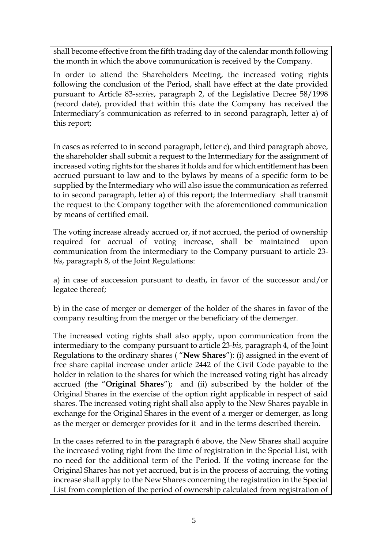shall become effective from the fifth trading day of the calendar month following the month in which the above communication is received by the Company.

In order to attend the Shareholders Meeting, the increased voting rights following the conclusion of the Period, shall have effect at the date provided pursuant to Article 83-*sexies*, paragraph 2, of the Legislative Decree 58/1998 (record date), provided that within this date the Company has received the Intermediary's communication as referred to in second paragraph, letter a) of this report;

In cases as referred to in second paragraph, letter c), and third paragraph above, the shareholder shall submit a request to the Intermediary for the assignment of increased voting rights for the shares it holds and for which entitlement has been accrued pursuant to law and to the bylaws by means of a specific form to be supplied by the Intermediary who will also issue the communication as referred to in second paragraph, letter a) of this report; the Intermediary shall transmit the request to the Company together with the aforementioned communication by means of certified email.

The voting increase already accrued or, if not accrued, the period of ownership required for accrual of voting increase, shall be maintained upon communication from the intermediary to the Company pursuant to article 23 *bis*, paragraph 8, of the Joint Regulations:

a) in case of succession pursuant to death, in favor of the successor and/or legatee thereof;

b) in the case of merger or demerger of the holder of the shares in favor of the company resulting from the merger or the beneficiary of the demerger.

The increased voting rights shall also apply, upon communication from the intermediary to the company pursuant to article 23-*bis*, paragraph 4, of the Joint Regulations to the ordinary shares ( "**New Shares**"): (i) assigned in the event of free share capital increase under article 2442 of the Civil Code payable to the holder in relation to the shares for which the increased voting right has already accrued (the "**Original Shares**"); and (ii) subscribed by the holder of the Original Shares in the exercise of the option right applicable in respect of said shares. The increased voting right shall also apply to the New Shares payable in exchange for the Original Shares in the event of a merger or demerger, as long as the merger or demerger provides for it and in the terms described therein.

In the cases referred to in the paragraph 6 above, the New Shares shall acquire the increased voting right from the time of registration in the Special List, with no need for the additional term of the Period. If the voting increase for the Original Shares has not yet accrued, but is in the process of accruing, the voting increase shall apply to the New Shares concerning the registration in the Special List from completion of the period of ownership calculated from registration of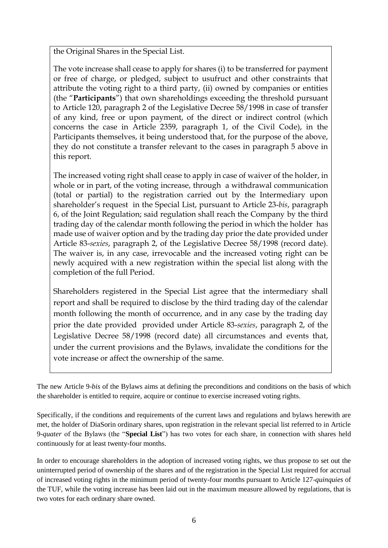the Original Shares in the Special List.

The vote increase shall cease to apply for shares (i) to be transferred for payment or free of charge, or pledged, subject to usufruct and other constraints that attribute the voting right to a third party, (ii) owned by companies or entities (the "**Participants**") that own shareholdings exceeding the threshold pursuant to Article 120, paragraph 2 of the Legislative Decree 58/1998 in case of transfer of any kind, free or upon payment, of the direct or indirect control (which concerns the case in Article 2359, paragraph 1, of the Civil Code), in the Participants themselves, it being understood that, for the purpose of the above, they do not constitute a transfer relevant to the cases in paragraph 5 above in this report.

The increased voting right shall cease to apply in case of waiver of the holder, in whole or in part, of the voting increase, through a withdrawal communication (total or partial) to the registration carried out by the Intermediary upon shareholder's request in the Special List, pursuant to Article 23-*bis*, paragraph 6, of the Joint Regulation; said regulation shall reach the Company by the third trading day of the calendar month following the period in which the holder has made use of waiver option and by the trading day prior the date provided under Article 83-*sexies*, paragraph 2, of the Legislative Decree 58/1998 (record date). The waiver is, in any case, irrevocable and the increased voting right can be newly acquired with a new registration within the special list along with the completion of the full Period.

Shareholders registered in the Special List agree that the intermediary shall report and shall be required to disclose by the third trading day of the calendar month following the month of occurrence, and in any case by the trading day prior the date provided provided under Article 83-*sexies*, paragraph 2, of the Legislative Decree 58/1998 (record date) all circumstances and events that, under the current provisions and the Bylaws, invalidate the conditions for the vote increase or affect the ownership of the same.

The new Article 9-*bis* of the Bylaws aims at defining the preconditions and conditions on the basis of which the shareholder is entitled to require, acquire or continue to exercise increased voting rights.

Specifically, if the conditions and requirements of the current laws and regulations and bylaws herewith are met, the holder of DiaSorin ordinary shares, upon registration in the relevant special list referred to in Article 9-*quater* of the Bylaws (the "**Special List**") has two votes for each share, in connection with shares held continuously for at least twenty-four months.

In order to encourage shareholders in the adoption of increased voting rights, we thus propose to set out the uninterrupted period of ownership of the shares and of the registration in the Special List required for accrual of increased voting rights in the minimum period of twenty-four months pursuant to Article 127-*quinquies* of the TUF, while the voting increase has been laid out in the maximum measure allowed by regulations, that is two votes for each ordinary share owned.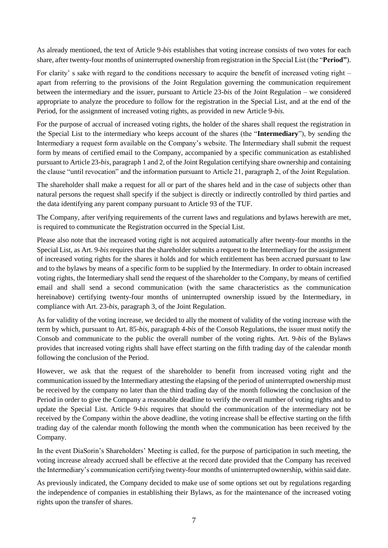As already mentioned, the text of Article 9-*bis* establishes that voting increase consists of two votes for each share, after twenty-four months of uninterrupted ownership from registration in the Special List (the "**Period"**).

For clarity' s sake with regard to the conditions necessary to acquire the benefit of increased voting right – apart from referring to the provisions of the Joint Regulation governing the communication requirement between the intermediary and the issuer, pursuant to Article 23-*bis* of the Joint Regulation – we considered appropriate to analyze the procedure to follow for the registration in the Special List, and at the end of the Period, for the assignment of increased voting rights, as provided in new Article 9-*bis.*

For the purpose of accrual of increased voting rights, the holder of the shares shall request the registration in the Special List to the intermediary who keeps account of the shares (the "**Intermediary**"), by sending the Intermediary a request form available on the Company's website. The Intermediary shall submit the request form by means of certified email to the Company, accompanied by a specific communication as established pursuant to Article 23-*bis*, paragraph 1 and 2, of the Joint Regulation certifying share ownership and containing the clause "until revocation" and the information pursuant to Article 21, paragraph 2, of the Joint Regulation.

The shareholder shall make a request for all or part of the shares held and in the case of subjects other than natural persons the request shall specify if the subject is directly or indirectly controlled by third parties and the data identifying any parent company pursuant to Article 93 of the TUF.

The Company, after verifying requirements of the current laws and regulations and bylaws herewith are met, is required to communicate the Registration occurred in the Special List.

Please also note that the increased voting right is not acquired automatically after twenty-four months in the Special List, as Art. 9-*bis* requires that the shareholder submits a request to the Intermediary for the assignment of increased voting rights for the shares it holds and for which entitlement has been accrued pursuant to law and to the bylaws by means of a specific form to be supplied by the Intermediary. In order to obtain increased voting rights, the Intermediary shall send the request of the shareholder to the Company, by means of certified email and shall send a second communication (with the same characteristics as the communication hereinabove) certifying twenty-four months of uninterrupted ownership issued by the Intermediary, in compliance with Art. 23-*bis*, paragraph 3, of the Joint Regulation.

As for validity of the voting increase, we decided to ally the moment of validity of the voting increase with the term by which, pursuant to Art. 85-*bis*, paragraph 4-*bis* of the Consob Regulations, the issuer must notify the Consob and communicate to the public the overall number of the voting rights. Art. 9-*bis* of the Bylaws provides that increased voting rights shall have effect starting on the fifth trading day of the calendar month following the conclusion of the Period.

However, we ask that the request of the shareholder to benefit from increased voting right and the communication issued by the Intermediary attesting the elapsing of the period of uninterrupted ownership must be received by the company no later than the third trading day of the month following the conclusion of the Period in order to give the Company a reasonable deadline to verify the overall number of voting rights and to update the Special List. Article 9-*bis* requires that should the communication of the intermediary not be received by the Company within the above deadline, the voting increase shall be effective starting on the fifth trading day of the calendar month following the month when the communication has been received by the Company.

In the event DiaSorin's Shareholders' Meeting is called, for the purpose of participation in such meeting, the voting increase already accrued shall be effective at the record date provided that the Company has received the Intermediary's communication certifying twenty-four months of uninterrupted ownership, within said date.

As previously indicated, the Company decided to make use of some options set out by regulations regarding the independence of companies in establishing their Bylaws, as for the maintenance of the increased voting rights upon the transfer of shares.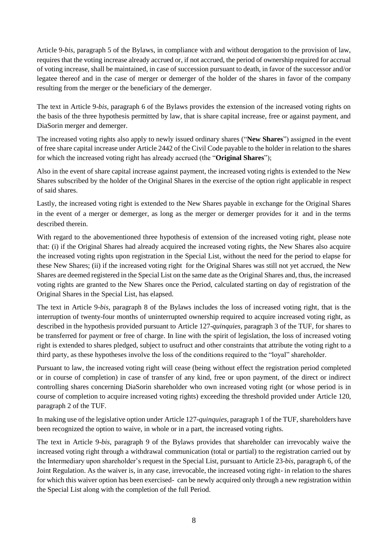Article 9-*bis*, paragraph 5 of the Bylaws, in compliance with and without derogation to the provision of law, requires that the voting increase already accrued or, if not accrued, the period of ownership required for accrual of voting increase, shall be maintained, in case of succession pursuant to death, in favor of the successor and/or legatee thereof and in the case of merger or demerger of the holder of the shares in favor of the company resulting from the merger or the beneficiary of the demerger.

The text in Article 9-*bis*, paragraph 6 of the Bylaws provides the extension of the increased voting rights on the basis of the three hypothesis permitted by law, that is share capital increase, free or against payment, and DiaSorin merger and demerger.

The increased voting rights also apply to newly issued ordinary shares ("**New Shares**") assigned in the event of free share capital increase under Article 2442 of the Civil Code payable to the holder in relation to the shares for which the increased voting right has already accrued (the "**Original Shares**");

Also in the event of share capital increase against payment, the increased voting rights is extended to the New Shares subscribed by the holder of the Original Shares in the exercise of the option right applicable in respect of said shares.

Lastly, the increased voting right is extended to the New Shares payable in exchange for the Original Shares in the event of a merger or demerger, as long as the merger or demerger provides for it and in the terms described therein.

With regard to the abovementioned three hypothesis of extension of the increased voting right, please note that: (i) if the Original Shares had already acquired the increased voting rights, the New Shares also acquire the increased voting rights upon registration in the Special List, without the need for the period to elapse for these New Shares; (ii) if the increased voting right for the Original Shares was still not yet accrued, the New Shares are deemed registered in the Special List on the same date as the Original Shares and, thus, the increased voting rights are granted to the New Shares once the Period, calculated starting on day of registration of the Original Shares in the Special List, has elapsed.

The text in Article 9-*bis*, paragraph 8 of the Bylaws includes the loss of increased voting right, that is the interruption of twenty-four months of uninterrupted ownership required to acquire increased voting right, as described in the hypothesis provided pursuant to Article 127-*quinquies*, paragraph 3 of the TUF, for shares to be transferred for payment or free of charge. In line with the spirit of legislation, the loss of increased voting right is extended to shares pledged, subject to usufruct and other constraints that attribute the voting right to a third party, as these hypotheses involve the loss of the conditions required to the "loyal" shareholder.

Pursuant to law, the increased voting right will cease (being without effect the registration period completed or in course of completion) in case of transfer of any kind, free or upon payment, of the direct or indirect controlling shares concerning DiaSorin shareholder who own increased voting right (or whose period is in course of completion to acquire increased voting rights) exceeding the threshold provided under Article 120, paragraph 2 of the TUF.

In making use of the legislative option under Article 127-*quinquies*, paragraph 1 of the TUF, shareholders have been recognized the option to waive, in whole or in a part, the increased voting rights.

The text in Article 9-*bis*, paragraph 9 of the Bylaws provides that shareholder can irrevocably waive the increased voting right through a withdrawal communication (total or partial) to the registration carried out by the Intermediary upon shareholder's request in the Special List, pursuant to Article 23-*bis*, paragraph 6, of the Joint Regulation. As the waiver is, in any case, irrevocable, the increased voting right- in relation to the shares for which this waiver option has been exercised- can be newly acquired only through a new registration within the Special List along with the completion of the full Period.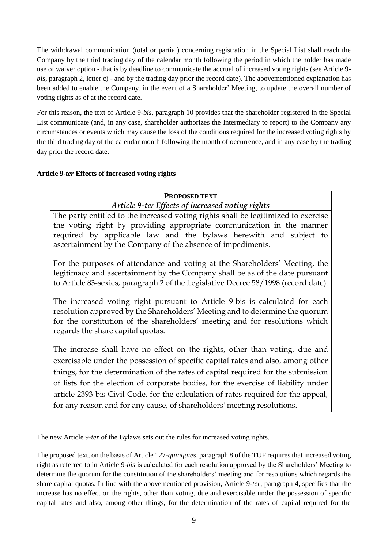The withdrawal communication (total or partial) concerning registration in the Special List shall reach the Company by the third trading day of the calendar month following the period in which the holder has made use of waiver option - that is by deadline to communicate the accrual of increased voting rights (see Article 9 *bis*, paragraph 2, letter c) - and by the trading day prior the record date). The abovementioned explanation has been added to enable the Company, in the event of a Shareholder' Meeting, to update the overall number of voting rights as of at the record date.

For this reason, the text of Article 9-*bis*, paragraph 10 provides that the shareholder registered in the Special List communicate (and, in any case, shareholder authorizes the Intermediary to report) to the Company any circumstances or events which may cause the loss of the conditions required for the increased voting rights by the third trading day of the calendar month following the month of occurrence, and in any case by the trading day prior the record date.

## **Article 9-***ter* **Effects of increased voting rights**

| <b>PROPOSED TEXT</b>                                                                                                                                                                                                                                                                                                                                                                                                             |  |  |
|----------------------------------------------------------------------------------------------------------------------------------------------------------------------------------------------------------------------------------------------------------------------------------------------------------------------------------------------------------------------------------------------------------------------------------|--|--|
| Article 9-ter Effects of increased voting rights                                                                                                                                                                                                                                                                                                                                                                                 |  |  |
| The party entitled to the increased voting rights shall be legitimized to exercise<br>the voting right by providing appropriate communication in the manner<br>required by applicable law and the bylaws herewith and subject to<br>ascertainment by the Company of the absence of impediments.                                                                                                                                  |  |  |
| For the purposes of attendance and voting at the Shareholders' Meeting, the<br>legitimacy and ascertainment by the Company shall be as of the date pursuant<br>to Article 83-sexies, paragraph 2 of the Legislative Decree 58/1998 (record date).                                                                                                                                                                                |  |  |
| The increased voting right pursuant to Article 9-bis is calculated for each<br>resolution approved by the Shareholders' Meeting and to determine the quorum<br>for the constitution of the shareholders' meeting and for resolutions which<br>regards the share capital quotas.                                                                                                                                                  |  |  |
| The increase shall have no effect on the rights, other than voting, due and<br>exercisable under the possession of specific capital rates and also, among other<br>things, for the determination of the rates of capital required for the submission<br>of lists for the election of corporate bodies, for the exercise of liability under<br>article 2393-bis Civil Code, for the calculation of rates required for the appeal, |  |  |
| for any reason and for any cause, of shareholders' meeting resolutions.                                                                                                                                                                                                                                                                                                                                                          |  |  |

The new Article 9-*ter* of the Bylaws sets out the rules for increased voting rights.

The proposed text, on the basis of Article 127-*quinquies*, paragraph 8 of the TUF requires that increased voting right as referred to in Article 9-*bis* is calculated for each resolution approved by the Shareholders' Meeting to determine the quorum for the constitution of the shareholders' meeting and for resolutions which regards the share capital quotas. In line with the abovementioned provision, Article 9-*ter*, paragraph 4, specifies that the increase has no effect on the rights, other than voting, due and exercisable under the possession of specific capital rates and also, among other things, for the determination of the rates of capital required for the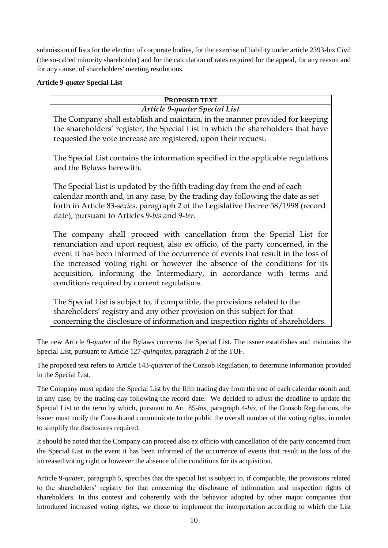submission of lists for the election of corporate bodies, for the exercise of liability under article 2393-bis Civil (the so-called minority shareholder) and for the calculation of rates required for the appeal, for any reason and for any cause, of shareholders' meeting resolutions.

## **Article 9-***quater* **Special List**

| <b>PROPOSED TEXT</b>                                                                                                                                                                                                                                                                                                                                                                                                                                |  |  |  |
|-----------------------------------------------------------------------------------------------------------------------------------------------------------------------------------------------------------------------------------------------------------------------------------------------------------------------------------------------------------------------------------------------------------------------------------------------------|--|--|--|
| Article 9-quater Special List                                                                                                                                                                                                                                                                                                                                                                                                                       |  |  |  |
| The Company shall establish and maintain, in the manner provided for keeping<br>the shareholders' register, the Special List in which the shareholders that have<br>requested the vote increase are registered, upon their request.                                                                                                                                                                                                                 |  |  |  |
| The Special List contains the information specified in the applicable regulations<br>and the Bylaws herewith.                                                                                                                                                                                                                                                                                                                                       |  |  |  |
| The Special List is updated by the fifth trading day from the end of each<br>calendar month and, in any case, by the trading day following the date as set<br>forth in Article 83-sexies, paragraph 2 of the Legislative Decree 58/1998 (record<br>date), pursuant to Articles 9-bis and 9-ter.                                                                                                                                                     |  |  |  |
| The company shall proceed with cancellation from the Special List for<br>renunciation and upon request, also ex officio, of the party concerned, in the<br>event it has been informed of the occurrence of events that result in the loss of<br>the increased voting right or however the absence of the conditions for its<br>acquisition, informing the Intermediary, in accordance with terms and<br>conditions required by current regulations. |  |  |  |
| The Special List is subject to, if compatible, the provisions related to the<br>shareholders' registry and any other provision on this subject for that                                                                                                                                                                                                                                                                                             |  |  |  |

concerning the disclosure of information and inspection rights of shareholders.

The new Article 9-*quater* of the Bylaws concerns the Special List. The issuer establishes and maintains the Special List, pursuant to Article 127-*quinquies*, paragraph 2 of the TUF.

The proposed text refers to Article 143-*quarter* of the Consob Regulation, to determine information provided in the Special List.

The Company must update the Special List by the fifth trading day from the end of each calendar month and, in any case, by the trading day following the record date. We decided to adjust the deadline to update the Special List to the term by which, pursuant to Art. 85-*bis*, paragraph 4-*bis*, of the Consob Regulations, the issuer must notify the Consob and communicate to the public the overall number of the voting rights, in order to simplify the disclosures required.

It should be noted that the Company can proceed also ex officio with cancellation of the party concerned from the Special List in the event it has been informed of the occurrence of events that result in the loss of the increased voting right or however the absence of the conditions for its acquisition.

Article 9-*quater*, paragraph 5, specifies that the special list is subject to, if compatible, the provisions related to the shareholders' registry for that concerning the disclosure of information and inspection rights of shareholders. In this context and coherently with the behavior adopted by other major companies that introduced increased voting rights, we chose to implement the interpretation according to which the List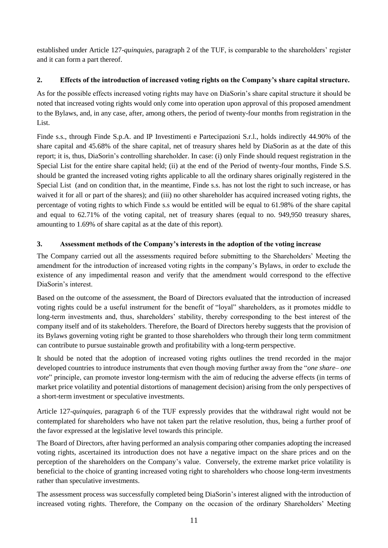established under Article 127-*quinquies*, paragraph 2 of the TUF, is comparable to the shareholders' register and it can form a part thereof.

# **2. Effects of the introduction of increased voting rights on the Company's share capital structure.**

As for the possible effects increased voting rights may have on DiaSorin's share capital structure it should be noted that increased voting rights would only come into operation upon approval of this proposed amendment to the Bylaws, and, in any case, after, among others, the period of twenty-four months from registration in the List.

Finde s.s., through Finde S.p.A. and IP Investimenti e Partecipazioni S.r.l., holds indirectly 44.90% of the share capital and 45.68% of the share capital, net of treasury shares held by DiaSorin as at the date of this report; it is, thus, DiaSorin's controlling shareholder. In case: (i) only Finde should request registration in the Special List for the entire share capital held; (ii) at the end of the Period of twenty-four months, Finde S.S. should be granted the increased voting rights applicable to all the ordinary shares originally registered in the Special List (and on condition that, in the meantime, Finde s.s. has not lost the right to such increase, or has waived it for all or part of the shares); and (iii) no other shareholder has acquired increased voting rights, the percentage of voting rights to which Finde s.s would be entitled will be equal to 61.98% of the share capital and equal to 62.71% of the voting capital, net of treasury shares (equal to no. 949,950 treasury shares, amounting to 1.69% of share capital as at the date of this report).

# **3. Assessment methods of the Company's interests in the adoption of the voting increase**

The Company carried out all the assessments required before submitting to the Shareholders' Meeting the amendment for the introduction of increased voting rights in the company's Bylaws, in order to exclude the existence of any impedimental reason and verify that the amendment would correspond to the effective DiaSorin's interest.

Based on the outcome of the assessment, the Board of Directors evaluated that the introduction of increased voting rights could be a useful instrument for the benefit of "loyal" shareholders, as it promotes middle to long-term investments and, thus, shareholders' stability, thereby corresponding to the best interest of the company itself and of its stakeholders. Therefore, the Board of Directors hereby suggests that the provision of its Bylaws governing voting right be granted to those shareholders who through their long term commitment can contribute to pursue sustainable growth and profitability with a long-term perspective.

It should be noted that the adoption of increased voting rights outlines the trend recorded in the major developed countries to introduce instruments that even though moving further away from the "*one share– one vote*" principle, can promote investor long-termism with the aim of reducing the adverse effects (in terms of market price volatility and potential distortions of management decision) arising from the only perspectives of a short-term investment or speculative investments.

Article 127-*quinquies*, paragraph 6 of the TUF expressly provides that the withdrawal right would not be contemplated for shareholders who have not taken part the relative resolution, thus, being a further proof of the favor expressed at the legislative level towards this principle.

The Board of Directors, after having performed an analysis comparing other companies adopting the increased voting rights, ascertained its introduction does not have a negative impact on the share prices and on the perception of the shareholders on the Company's value. Conversely, the extreme market price volatility is beneficial to the choice of granting increased voting right to shareholders who choose long-term investments rather than speculative investments.

The assessment process was successfully completed being DiaSorin's interest aligned with the introduction of increased voting rights. Therefore, the Company on the occasion of the ordinary Shareholders' Meeting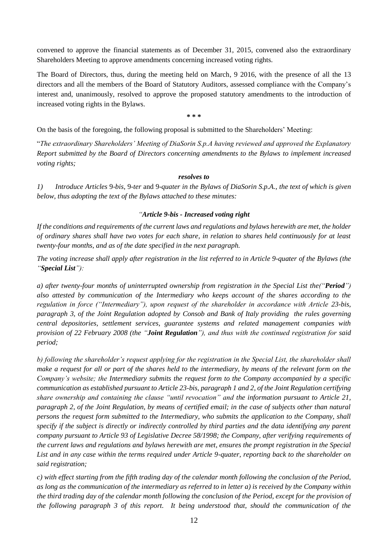convened to approve the financial statements as of December 31, 2015, convened also the extraordinary Shareholders Meeting to approve amendments concerning increased voting rights.

The Board of Directors, thus, during the meeting held on March, 9 2016, with the presence of all the 13 directors and all the members of the Board of Statutory Auditors, assessed compliance with the Company's interest and, unanimously, resolved to approve the proposed statutory amendments to the introduction of increased voting rights in the Bylaws.

**\* \* \***

On the basis of the foregoing, the following proposal is submitted to the Shareholders' Meeting:

"*The extraordinary Shareholders' Meeting of DiaSorin S.p.A having reviewed and approved the Explanatory Report submitted by the Board of Directors concerning amendments to the Bylaws to implement increased voting rights;*

#### *resolves to*

*1) Introduce Articles* 9-*bis*, 9-*ter* and 9-*quater in the Bylaws of DiaSorin S.p.A., the text of which is given below, thus adopting the text of the Bylaws attached to these minutes:* 

#### *"Article 9-bis - Increased voting right*

*If the conditions and requirements of the current laws and regulations and bylaws herewith are met, the holder of ordinary shares shall have two votes for each share, in relation to shares held continuously for at least twenty-four months, and as of the date specified in the next paragraph.*

*The voting increase shall apply after registration in the list referred to in Article 9-quater of the Bylaws (the "Special List"):* 

*a) after twenty-four months of uninterrupted ownership from registration in the Special List the("Period") also attested by communication of the Intermediary who keeps account of the shares according to the regulation in force ("Intermediary"), upon request of the shareholder in accordance with Article 23-bis, paragraph 3, of the Joint Regulation adopted by Consob and Bank of Italy providing the rules governing central depositories, settlement services, guarantee systems and related management companies with provision of 22 February 2008 (the "Joint Regulation"), and thus with the continued registration for said period;* 

*b) following the shareholder's request applying for the registration in the Special List, the shareholder shall make a request for all or part of the shares held to the intermediary, by means of the relevant form on the Company's website; the Intermediary submits the request form to the Company accompanied by a specific communication as established pursuant to Article 23-bis, paragraph 1 and 2, of the Joint Regulation certifying share ownership and containing the clause "until revocation" and the information pursuant to Article 21, paragraph 2, of the Joint Regulation, by means of certified email; in the case of subjects other than natural persons the request form submitted to the Intermediary, who submits the application to the Company, shall specify if the subject is directly or indirectly controlled by third parties and the data identifying any parent company pursuant to Article 93 of Legislative Decree 58/1998; the Company, after verifying requirements of the current laws and regulations and bylaws herewith are met, ensures the prompt registration in the Special List and in any case within the terms required under Article 9-quater, reporting back to the shareholder on said registration;* 

*c) with effect starting from the fifth trading day of the calendar month following the conclusion of the Period, as long as the communication of the intermediary as referred to in letter a) is received by the Company within the third trading day of the calendar month following the conclusion of the Period, except for the provision of the following paragraph 3 of this report. It being understood that, should the communication of the*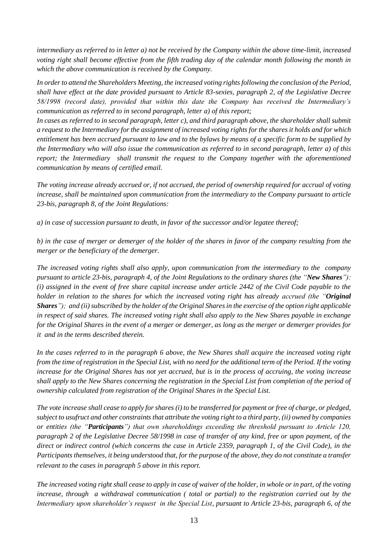*intermediary as referred to in letter a) not be received by the Company within the above time-limit, increased voting right shall become effective from the fifth trading day of the calendar month following the month in which the above communication is received by the Company.* 

*In order to attend the Shareholders Meeting, the increased voting rights following the conclusion of the Period, shall have effect at the date provided pursuant to Article 83-sexies, paragraph 2, of the Legislative Decree 58/1998 (record date), provided that within this date the Company has received the Intermediary's communication as referred to in second paragraph, letter a) of this report;*

In cases as referred to in second paragraph, letter c), and third paragraph above, the shareholder shall submit *a request to the Intermediary for the assignment of increased voting rights for the shares it holds and for which entitlement has been accrued pursuant to law and to the bylaws by means of a specific form to be supplied by the Intermediary who will also issue the communication as referred to in second paragraph, letter a) of this report; the Intermediary shall transmit the request to the Company together with the aforementioned communication by means of certified email.* 

*The voting increase already accrued or, if not accrued, the period of ownership required for accrual of voting increase, shall be maintained upon communication from the intermediary to the Company pursuant to article 23-bis, paragraph 8, of the Joint Regulations:*

*a) in case of succession pursuant to death, in favor of the successor and/or legatee thereof;*

*b) in the case of merger or demerger of the holder of the shares in favor of the company resulting from the merger or the beneficiary of the demerger.*

*The increased voting rights shall also apply, upon communication from the intermediary to the company pursuant to article 23-bis, paragraph 4, of the Joint Regulations to the ordinary shares (the "New Shares"): (i) assigned in the event of free share capital increase under article 2442 of the Civil Code payable to the holder in relation to the shares for which the increased voting right has already accrued (the "Original Shares"); and (ii) subscribed by the holder of the Original Shares in the exercise of the option right applicable in respect of said shares. The increased voting right shall also apply to the New Shares payable in exchange for the Original Shares in the event of a merger or demerger, as long as the merger or demerger provides for it and in the terms described therein.*

*In the cases referred to in the paragraph 6 above, the New Shares shall acquire the increased voting right from the time of registration in the Special List, with no need for the additional term of the Period. If the voting increase for the Original Shares has not yet accrued, but is in the process of accruing, the voting increase shall apply to the New Shares concerning the registration in the Special List from completion of the period of ownership calculated from registration of the Original Shares in the Special List.*

*The vote increase shall cease to apply for shares (i) to be transferred for payment or free of charge, or pledged, subject to usufruct and other constraints that attribute the voting right to a third party, (ii) owned by companies or entities (the "Participants") that own shareholdings exceeding the threshold pursuant to Article 120, paragraph 2 of the Legislative Decree 58/1998 in case of transfer of any kind, free or upon payment, of the direct or indirect control (which concerns the case in Article 2359, paragraph 1, of the Civil Code), in the Participants themselves, it being understood that, for the purpose of the above, they do not constitute a transfer relevant to the cases in paragraph 5 above in this report.*

*The increased voting right shall cease to apply in case of waiver of the holder, in whole or in part, of the voting increase, through a withdrawal communication ( total or partial) to the registration carried out by the Intermediary upon shareholder's request in the Special List, pursuant to Article 23-bis, paragraph 6, of the*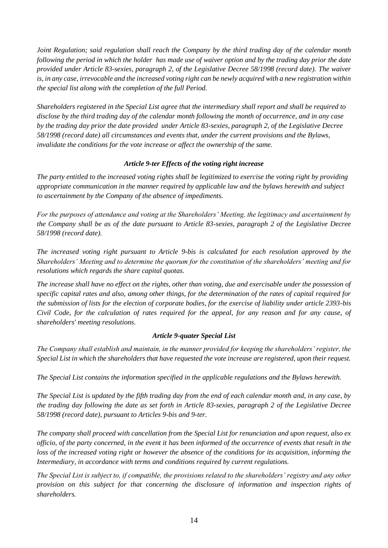*Joint Regulation; said regulation shall reach the Company by the third trading day of the calendar month following the period in which the holder has made use of waiver option and by the trading day prior the date provided under Article 83-sexies, paragraph 2, of the Legislative Decree 58/1998 (record date). The waiver is, in any case, irrevocable and the increased voting right can be newly acquired with a new registration within the special list along with the completion of the full Period.* 

*Shareholders registered in the Special List agree that the intermediary shall report and shall be required to disclose by the third trading day of the calendar month following the month of occurrence, and in any case by the trading day prior the date provided under Article 83-sexies, paragraph 2, of the Legislative Decree 58/1998 (record date) all circumstances and events that, under the current provisions and the Bylaws, invalidate the conditions for the vote increase or affect the ownership of the same.* 

#### *Article 9-ter Effects of the voting right increase*

*The party entitled to the increased voting rights shall be legitimized to exercise the voting right by providing appropriate communication in the manner required by applicable law and the bylaws herewith and subject to ascertainment by the Company of the absence of impediments.* 

*For the purposes of attendance and voting at the Shareholders' Meeting, the legitimacy and ascertainment by the Company shall be as of the date pursuant to Article 83-sexies, paragraph 2 of the Legislative Decree 58/1998 (record date).*

*The increased voting right pursuant to Article 9-bis is calculated for each resolution approved by the Shareholders' Meeting and to determine the quorum for the constitution of the shareholders' meeting and for resolutions which regards the share capital quotas.*

*The increase shall have no effect on the rights, other than voting, due and exercisable under the possession of specific capital rates and also, among other things, for the determination of the rates of capital required for the submission of lists for the election of corporate bodies, for the exercise of liability under article 2393-bis Civil Code, for the calculation of rates required for the appeal, for any reason and for any cause, of shareholders' meeting resolutions.*

## *Article 9-quater Special List*

*The Company shall establish and maintain, in the manner provided for keeping the shareholders' register, the Special List in which the shareholders that have requested the vote increase are registered, upon their request.* 

*The Special List contains the information specified in the applicable regulations and the Bylaws herewith.*

*The Special List is updated by the fifth trading day from the end of each calendar month and, in any case, by the trading day following the date as set forth in Article 83-sexies, paragraph 2 of the Legislative Decree 58/1998 (record date), pursuant to Articles 9-bis and 9-ter.*

*The company shall proceed with cancellation from the Special List for renunciation and upon request, also ex officio, of the party concerned, in the event it has been informed of the occurrence of events that result in the loss of the increased voting right or however the absence of the conditions for its acquisition, informing the Intermediary, in accordance with terms and conditions required by current regulations.*

*The Special List is subject to, if compatible, the provisions related to the shareholders' registry and any other provision on this subject for that concerning the disclosure of information and inspection rights of shareholders.*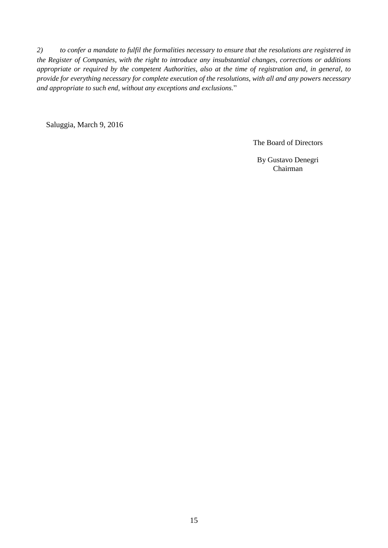*2) to confer a mandate to fulfil the formalities necessary to ensure that the resolutions are registered in the Register of Companies, with the right to introduce any insubstantial changes, corrections or additions appropriate or required by the competent Authorities, also at the time of registration and, in general, to provide for everything necessary for complete execution of the resolutions, with all and any powers necessary and appropriate to such end, without any exceptions and exclusions.*"

Saluggia, March 9, 2016

The Board of Directors

By Gustavo Denegri Chairman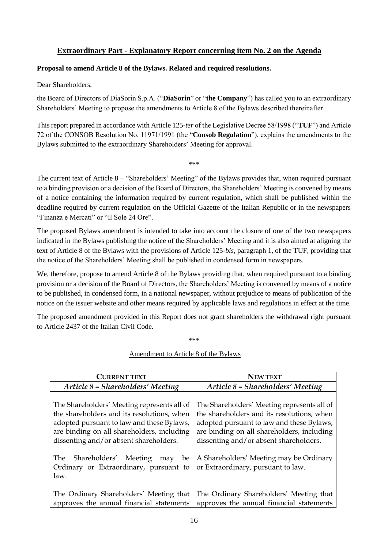# **Extraordinary Part - Explanatory Report concerning item No. 2 on the Agenda**

#### <span id="page-15-0"></span>**Proposal to amend Article 8 of the Bylaws. Related and required resolutions.**

Dear Shareholders,

the Board of Directors of DiaSorin S.p.A. ("**DiaSorin**" or "**the Company**") has called you to an extraordinary Shareholders' Meeting to propose the amendments to Article 8 of the Bylaws described thereinafter.

This report prepared in accordance with Article 125-*ter* of the Legislative Decree 58/1998 ("**TUF**") and Article 72 of the CONSOB Resolution No. 11971/1991 (the "**Consob Regulation**"), explains the amendments to the Bylaws submitted to the extraordinary Shareholders' Meeting for approval.

\*\*\*

The current text of Article 8 – "Shareholders' Meeting" of the Bylaws provides that, when required pursuant to a binding provision or a decision of the Board of Directors, the Shareholders' Meeting is convened by means of a notice containing the information required by current regulation, which shall be published within the deadline required by current regulation on the Official Gazette of the Italian Republic or in the newspapers "Finanza e Mercati" or "Il Sole 24 Ore".

The proposed Bylaws amendment is intended to take into account the closure of one of the two newspapers indicated in the Bylaws publishing the notice of the Shareholders' Meeting and it is also aimed at aligning the text of Article 8 of the Bylaws with the provisions of Article 125-*bis*, paragraph 1, of the TUF, providing that the notice of the Shareholders' Meeting shall be published in condensed form in newspapers.

We, therefore, propose to amend Article 8 of the Bylaws providing that, when required pursuant to a binding provision or a decision of the Board of Directors, the Shareholders' Meeting is convened by means of a notice to be published, in condensed form, in a national newspaper, without prejudice to means of publication of the notice on the issuer website and other means required by applicable laws and regulations in effect at the time.

The proposed amendment provided in this Report does not grant shareholders the withdrawal right pursuant to Article 2437 of the Italian Civil Code.

\*\*\*

#### Amendment to Article 8 of the Bylaws

| <b>CURRENT TEXT</b>                                                                                                                                                                                                            | <b>NEW TEXT</b>                                                                                                                                                                                                                |
|--------------------------------------------------------------------------------------------------------------------------------------------------------------------------------------------------------------------------------|--------------------------------------------------------------------------------------------------------------------------------------------------------------------------------------------------------------------------------|
| Article 8 - Shareholders' Meeting                                                                                                                                                                                              | Article 8 - Shareholders' Meeting                                                                                                                                                                                              |
| The Shareholders' Meeting represents all of<br>the shareholders and its resolutions, when<br>adopted pursuant to law and these Bylaws,<br>are binding on all shareholders, including<br>dissenting and/or absent shareholders. | The Shareholders' Meeting represents all of<br>the shareholders and its resolutions, when<br>adopted pursuant to law and these Bylaws,<br>are binding on all shareholders, including<br>dissenting and/or absent shareholders. |
| Shareholders' Meeting<br>The<br>be<br>may<br>Ordinary or Extraordinary, pursuant to<br>law.                                                                                                                                    | A Shareholders' Meeting may be Ordinary<br>or Extraordinary, pursuant to law.                                                                                                                                                  |
| The Ordinary Shareholders' Meeting that<br>approves the annual financial statements                                                                                                                                            | The Ordinary Shareholders' Meeting that<br>approves the annual financial statements                                                                                                                                            |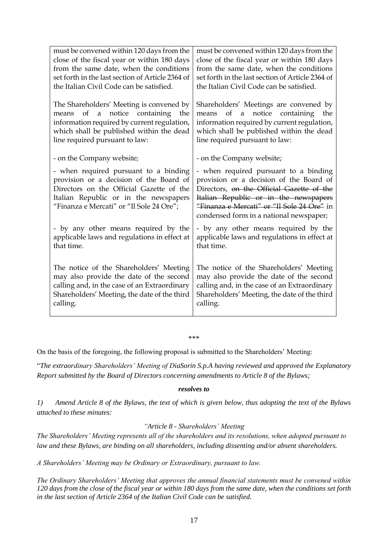| must be convened within 120 days from the        | must be convened within 120 days from the        |
|--------------------------------------------------|--------------------------------------------------|
| close of the fiscal year or within 180 days      | close of the fiscal year or within 180 days      |
| from the same date, when the conditions          | from the same date, when the conditions          |
| set forth in the last section of Article 2364 of | set forth in the last section of Article 2364 of |
| the Italian Civil Code can be satisfied.         | the Italian Civil Code can be satisfied.         |
|                                                  |                                                  |
| The Shareholders' Meeting is convened by         | Shareholders' Meetings are convened by           |
| of a notice containing<br>means<br>the           | of<br>notice containing<br>means<br>a<br>the     |
| information required by current regulation,      | information required by current regulation,      |
| which shall be published within the dead         | which shall be published within the dead         |
| line required pursuant to law:                   | line required pursuant to law:                   |
|                                                  |                                                  |
| - on the Company website;                        | - on the Company website;                        |
| - when required pursuant to a binding            | - when required pursuant to a binding            |
| provision or a decision of the Board of          | provision or a decision of the Board of          |
| Directors on the Official Gazette of the         | Directors, on the Official Gazette of the        |
| Italian Republic or in the newspapers            | Italian Republic or in the newspapers            |
| "Finanza e Mercati" or "Il Sole 24 Ore";         | "Finanza e Mercati" or "Il Sole 24 Ore" in       |
|                                                  | condensed form in a national newspaper;          |
| - by any other means required by the             | - by any other means required by the             |
| applicable laws and regulations in effect at     | applicable laws and regulations in effect at     |
| that time.                                       | that time.                                       |
|                                                  |                                                  |
| The notice of the Shareholders' Meeting          | The notice of the Shareholders' Meeting          |
| may also provide the date of the second          | may also provide the date of the second          |
| calling and, in the case of an Extraordinary     | calling and, in the case of an Extraordinary     |
| Shareholders' Meeting, the date of the third     | Shareholders' Meeting, the date of the third     |
| calling.                                         | calling.                                         |
|                                                  |                                                  |

\*\*\*

On the basis of the foregoing, the following proposal is submitted to the Shareholders' Meeting:

"*The extraordinary Shareholders' Meeting of DiaSorin S.p.A having reviewed and approved the Explanatory Report submitted by the Board of Directors concerning amendments to Article 8 of the Bylaws;*

#### *resolves to*

*1) Amend Article 8 of the Bylaws, the text of which is given below, thus adopting the text of the Bylaws attached to these minutes:* 

#### *"Article 8 - Shareholders' Meeting*

*The Shareholders' Meeting represents all of the shareholders and its resolutions, when adopted pursuant to law and these Bylaws, are binding on all shareholders, including dissenting and/or absent shareholders.*

*A Shareholders' Meeting may be Ordinary or Extraordinary, pursuant to law.* 

*The Ordinary Shareholders' Meeting that approves the annual financial statements must be convened within 120 days from the close of the fiscal year or within 180 days from the same date, when the conditions set forth in the last section of Article 2364 of the Italian Civil Code can be satisfied.*